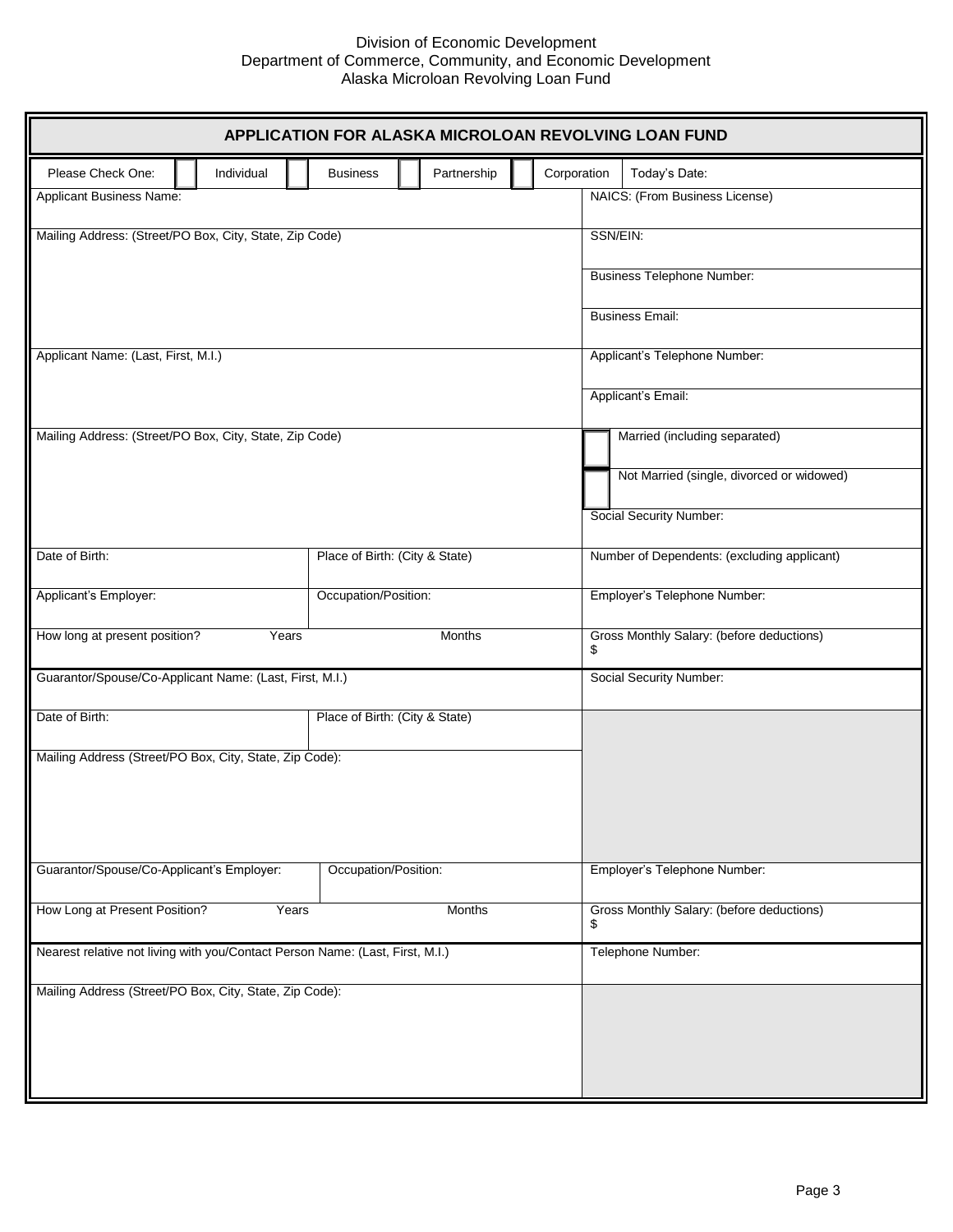

 $\Box$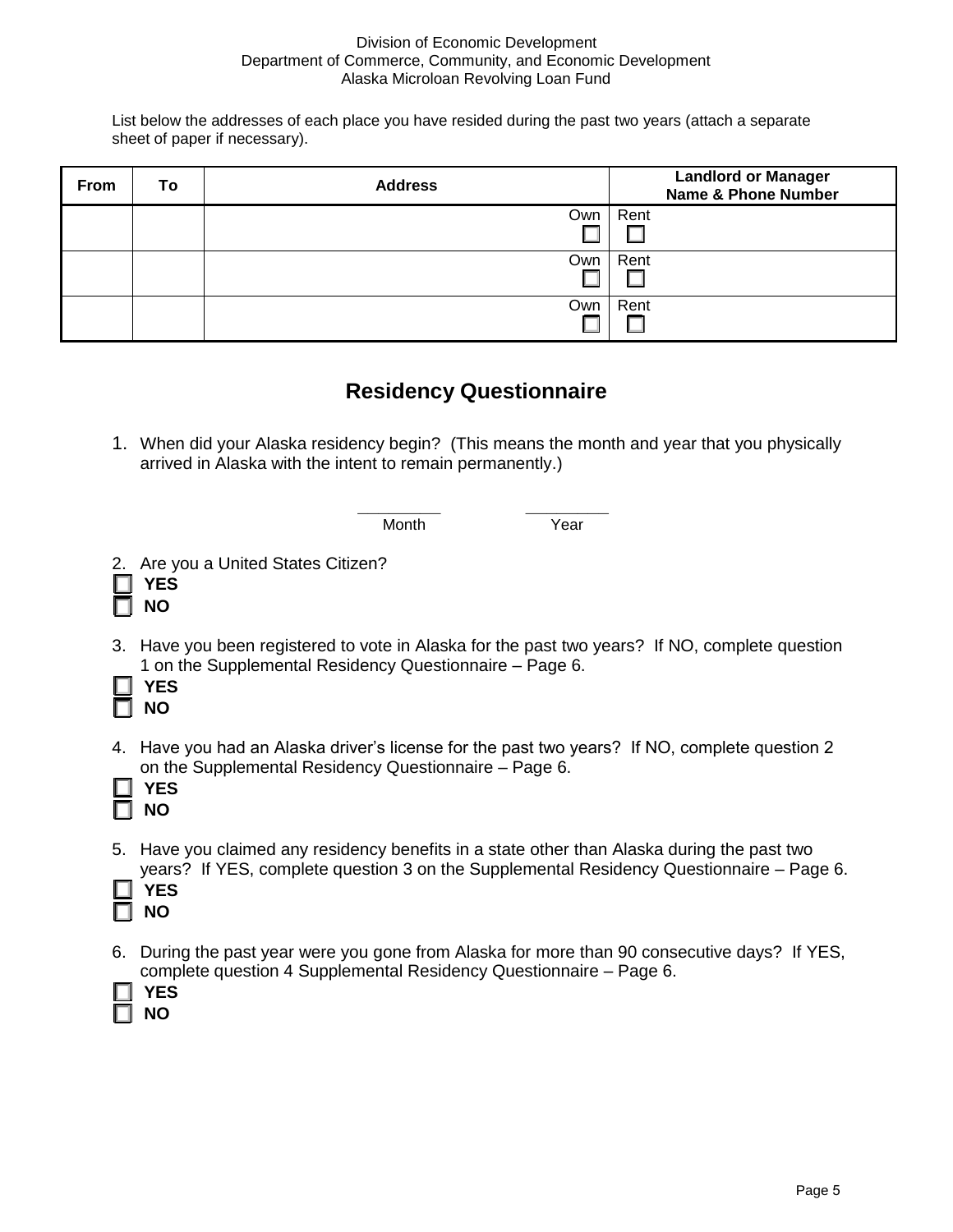

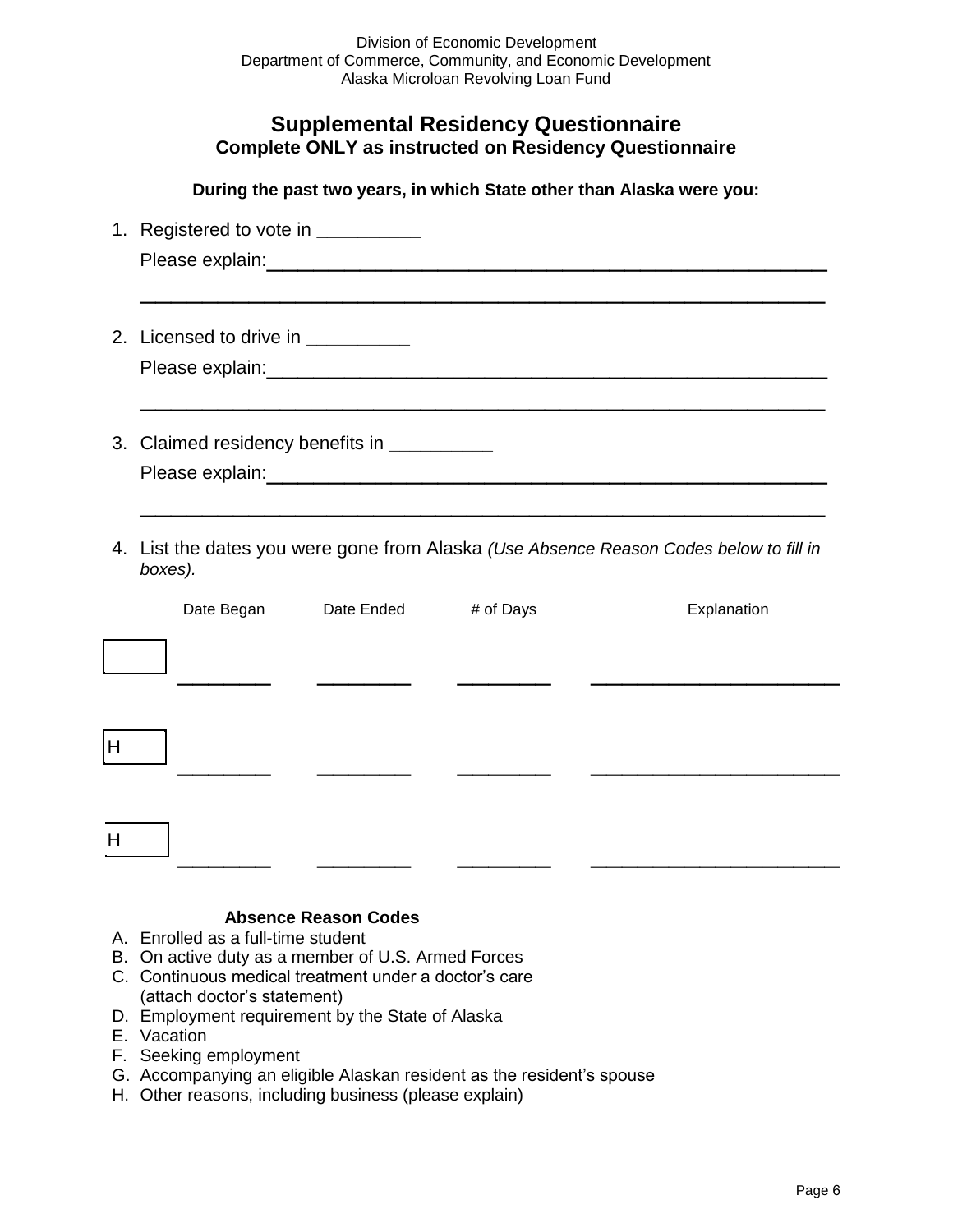$\overline{\mathsf{H}}$ 

 $\overline{H}$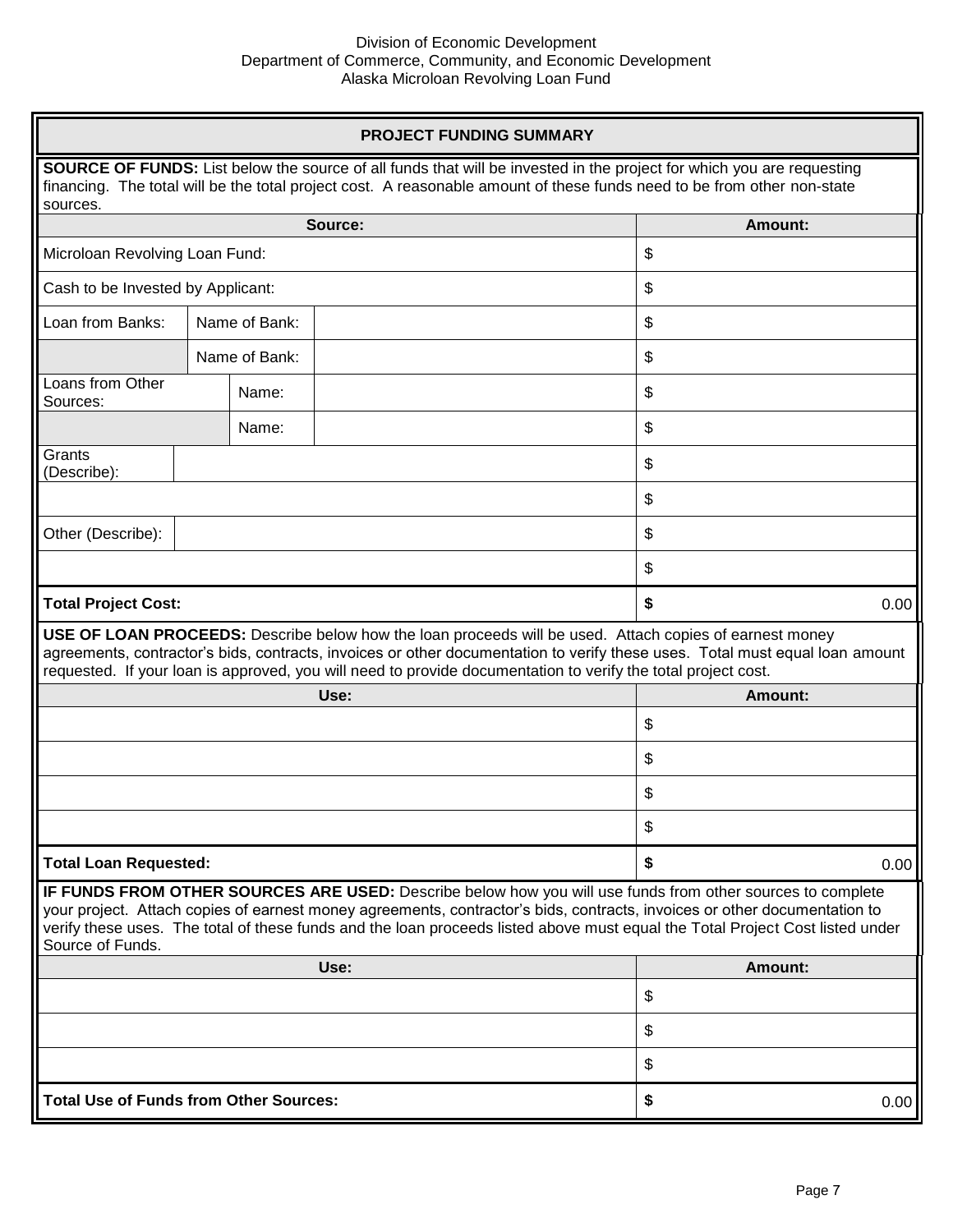$0.00$ 

 $0.00$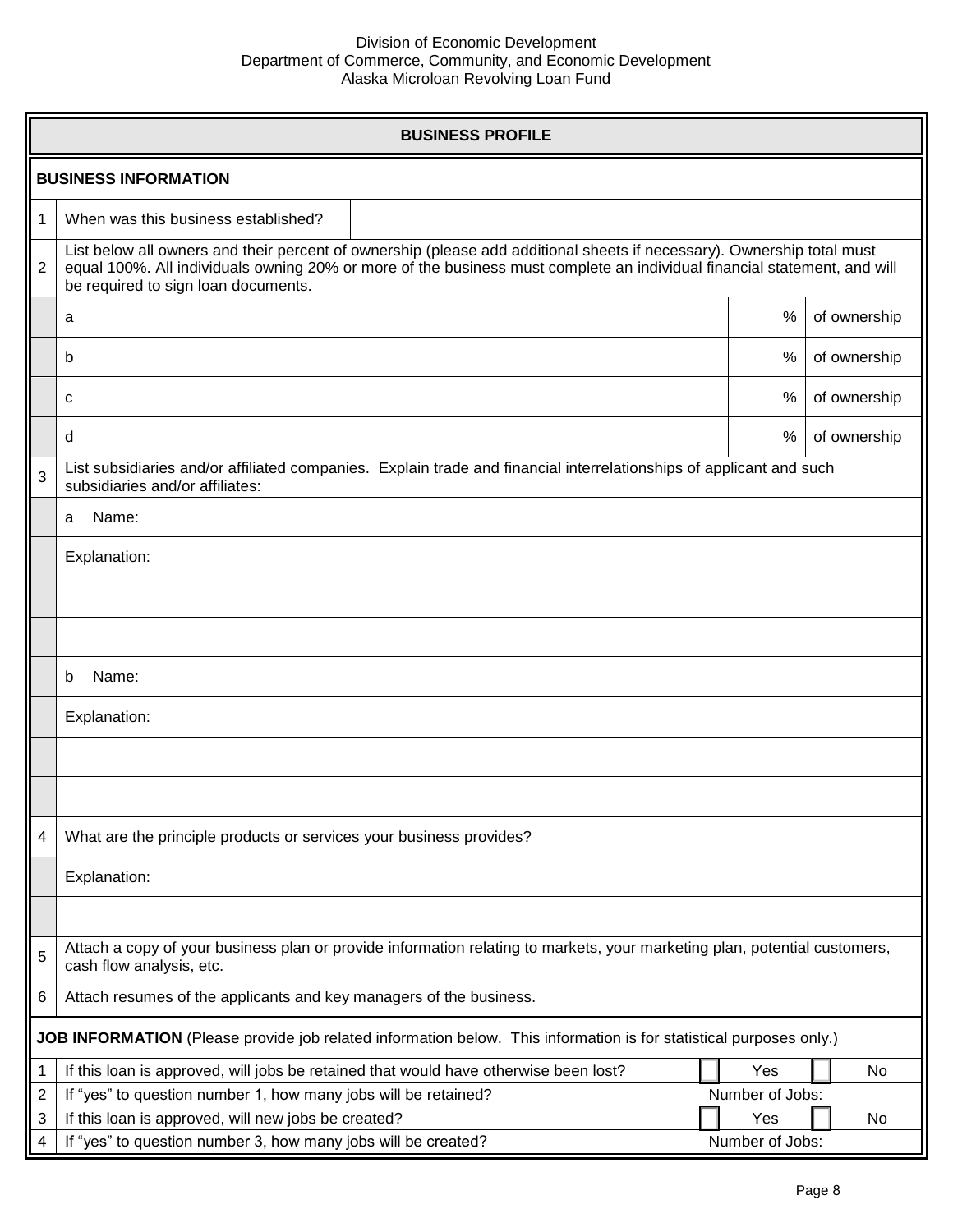$\Box$  $\Box$  $\Box$  $\Box$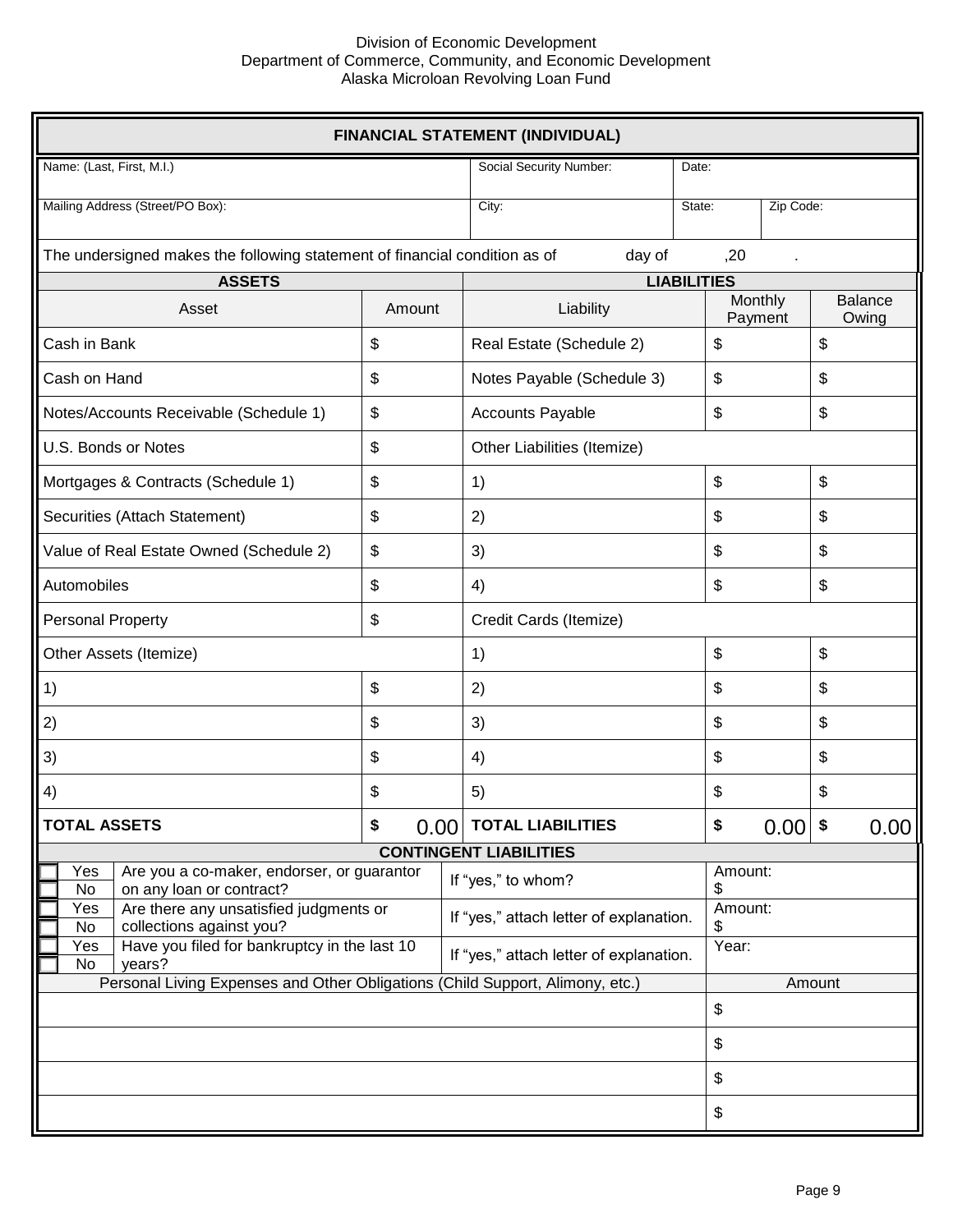

 $0.00$ 

 $0.00$  $0.00$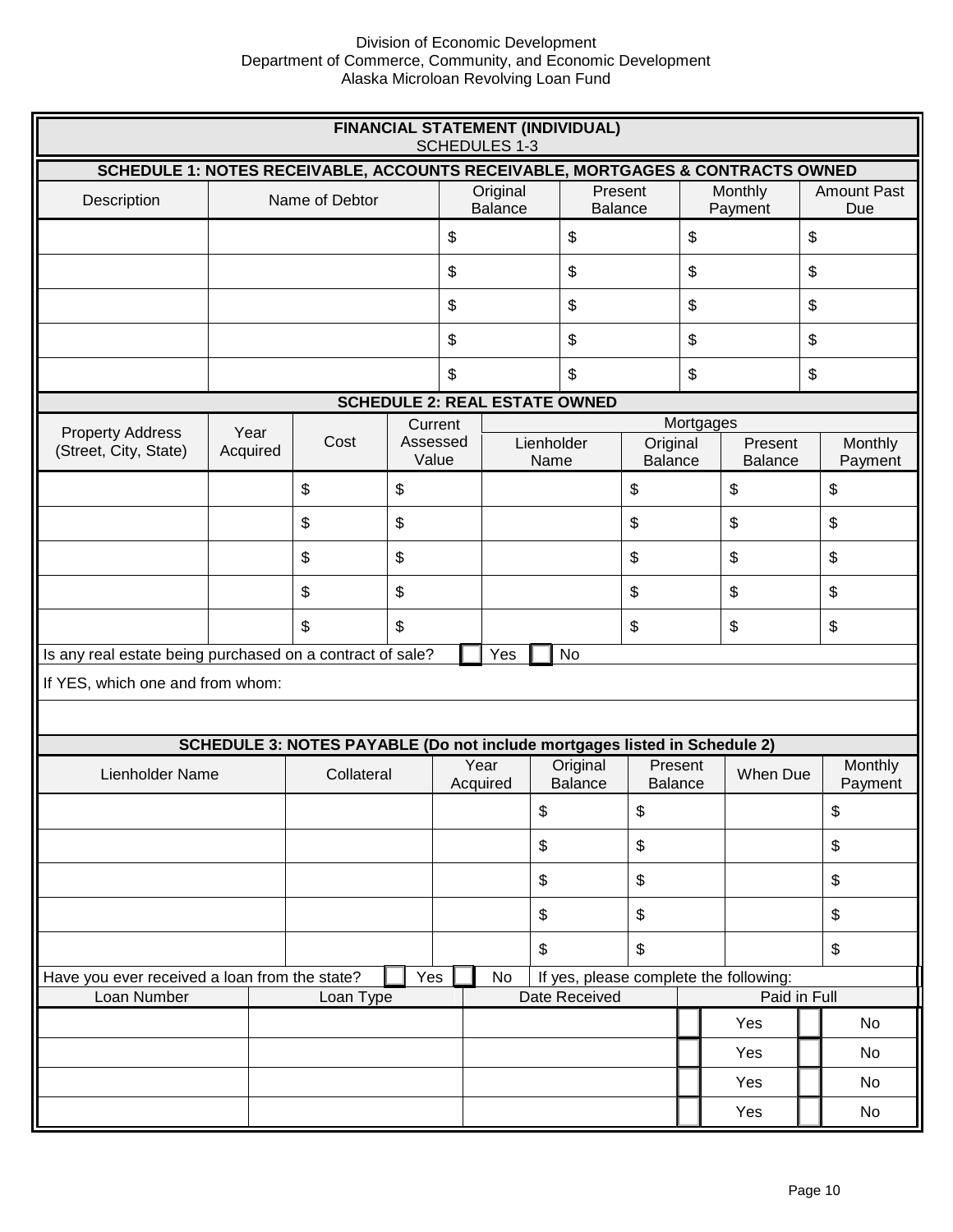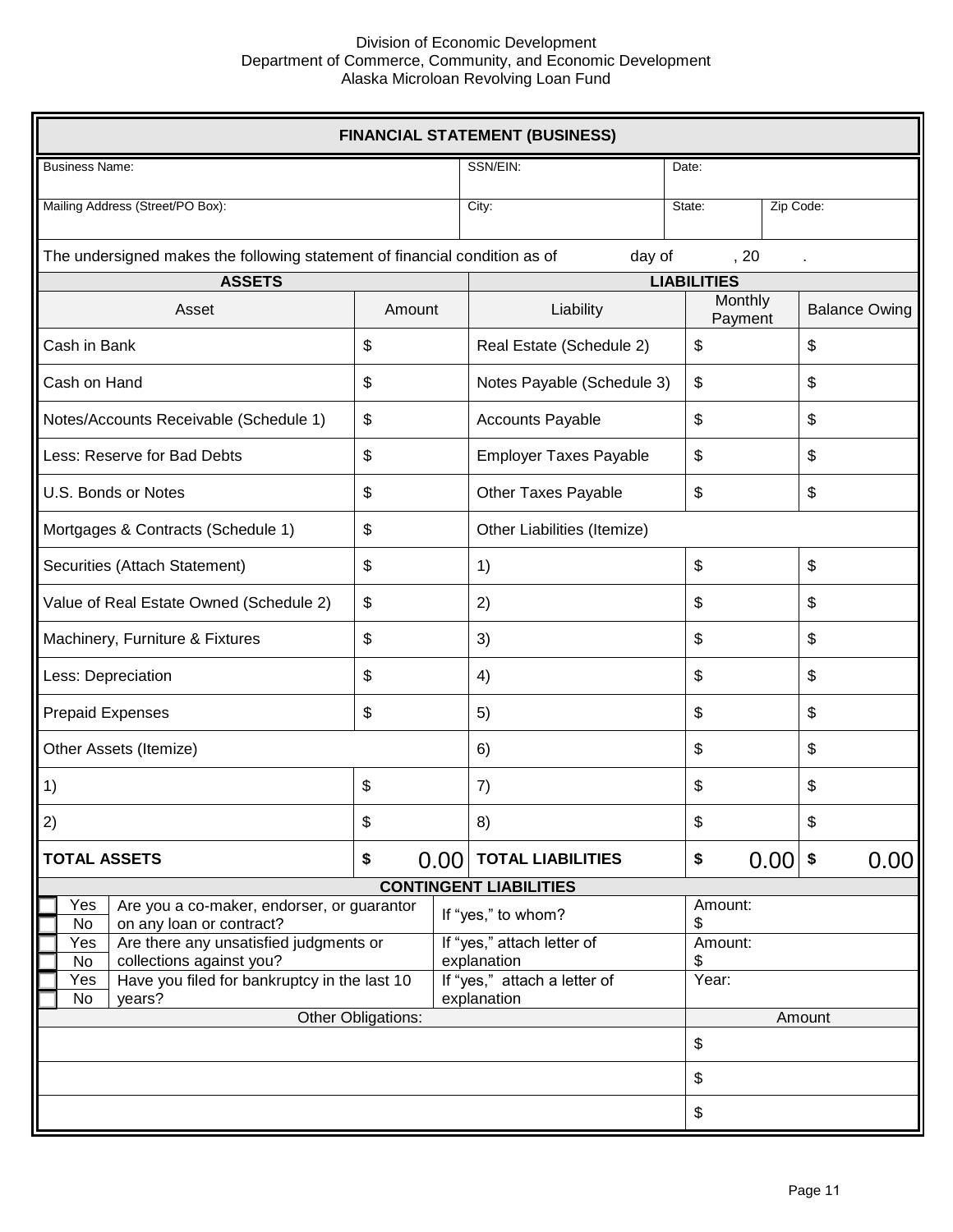

 $0.00$ 

 $0.00$  $0.00$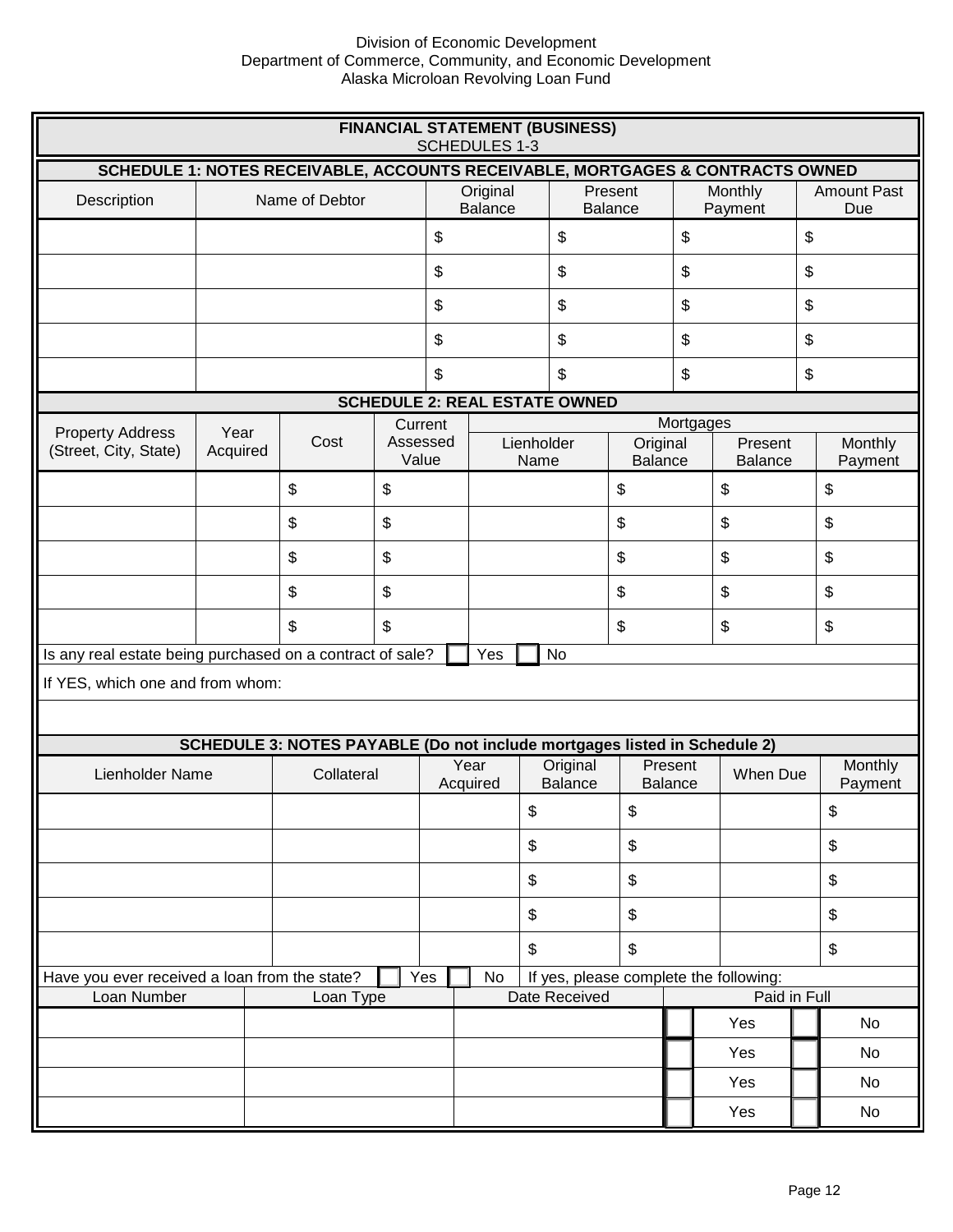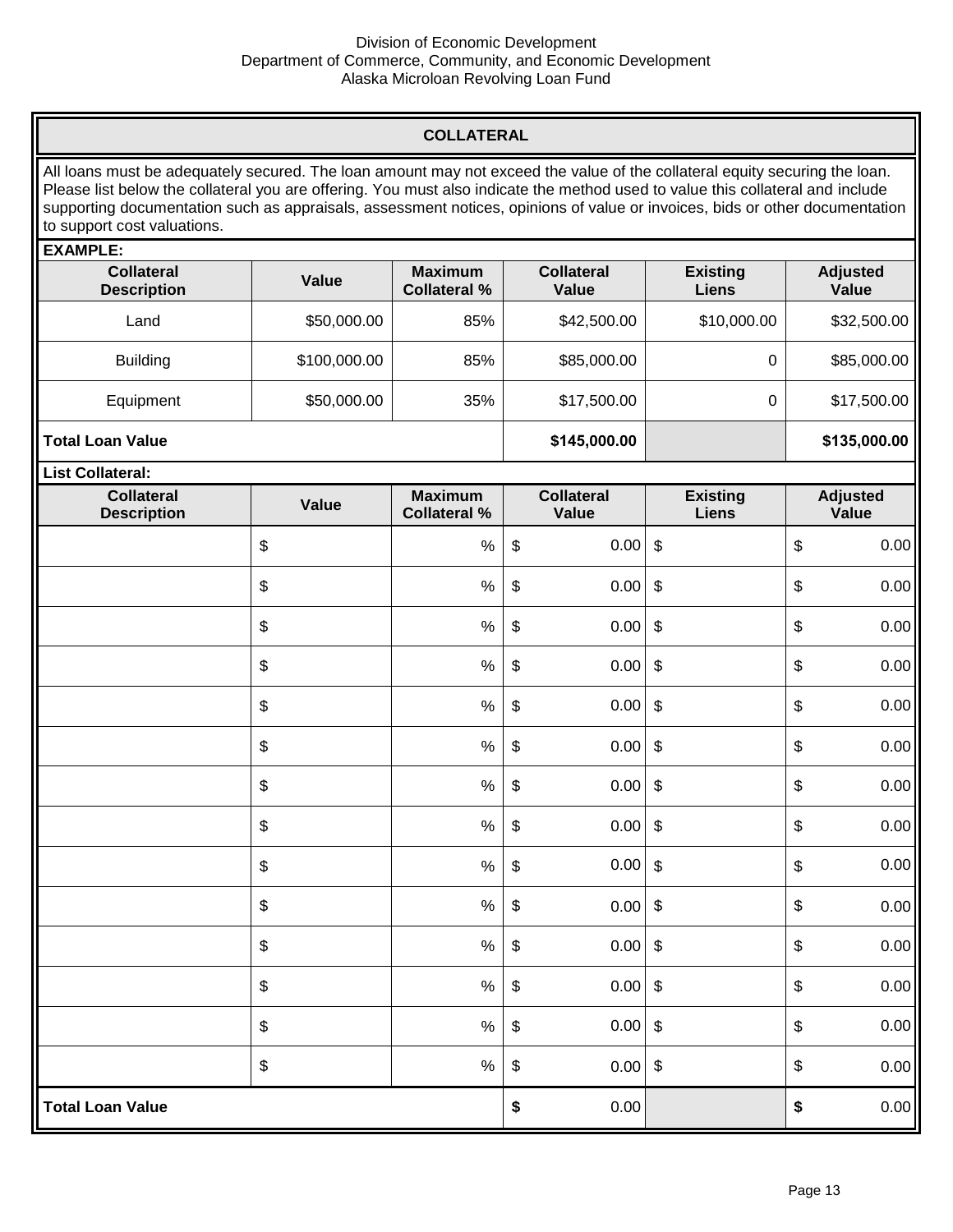| 0.00 | 0.00 |
|------|------|
|      |      |

 $0.00$  $0.00$ 

 $0.00$  $0.00$ 

 $0.00$  $0.00$ 

 $0.00$  $0.00$ 

 $0.00$  $0.00$ 

 $0.00$  $0.00$ 

 $0.00$  $0.00$ 

 $0.00$  $0.00$ 

 $0.00$  $0.00$ 

 $0.00$  $0.00$ 

 $0.00$  $0.00$ 

 $0.00$  $0.00$ 

 $0.00$  $0.00$ 

 $0.00$  $0.00$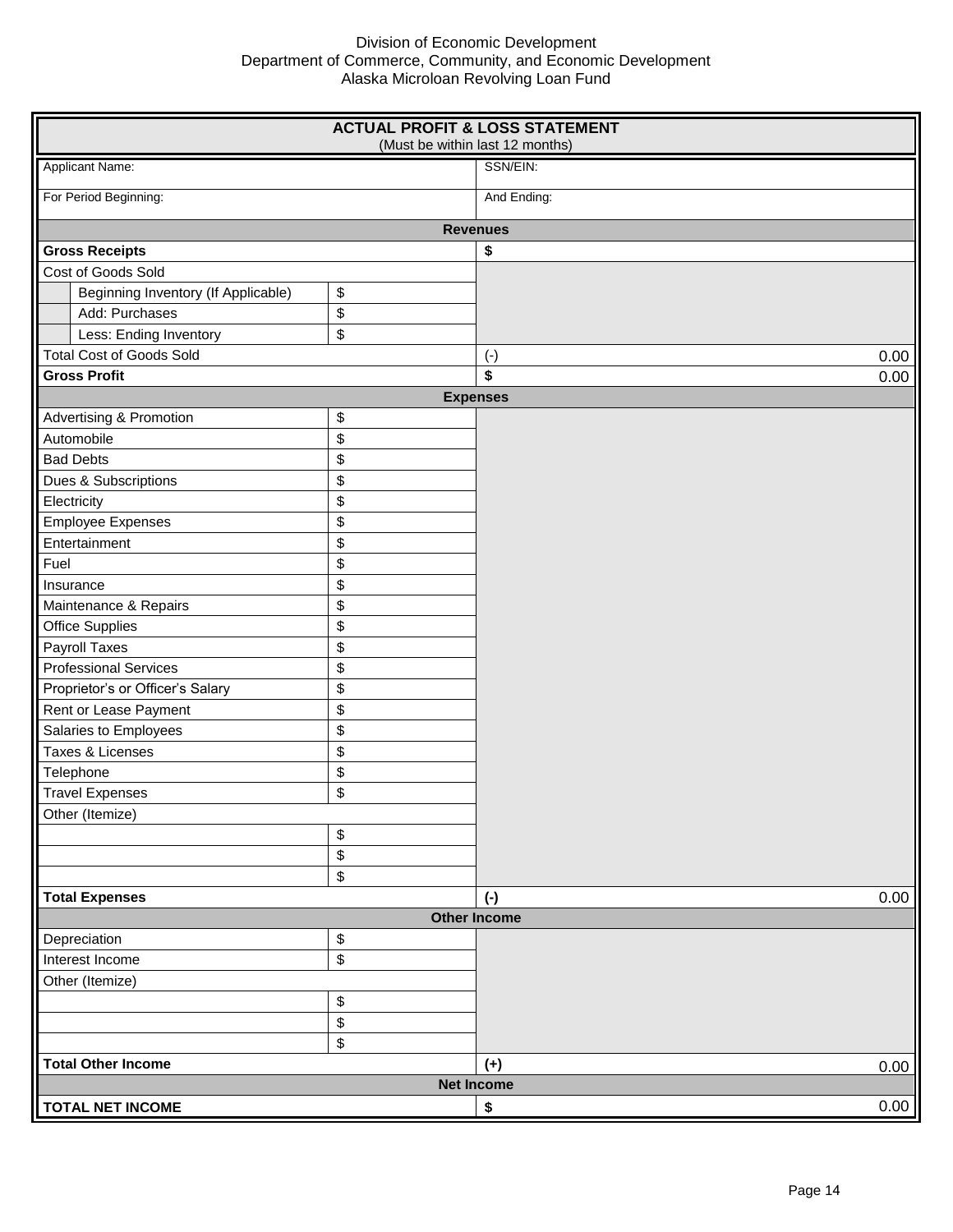$0.00$  $0.00$ 

 $0.00$ 

 $0.00$ 

 $0.00$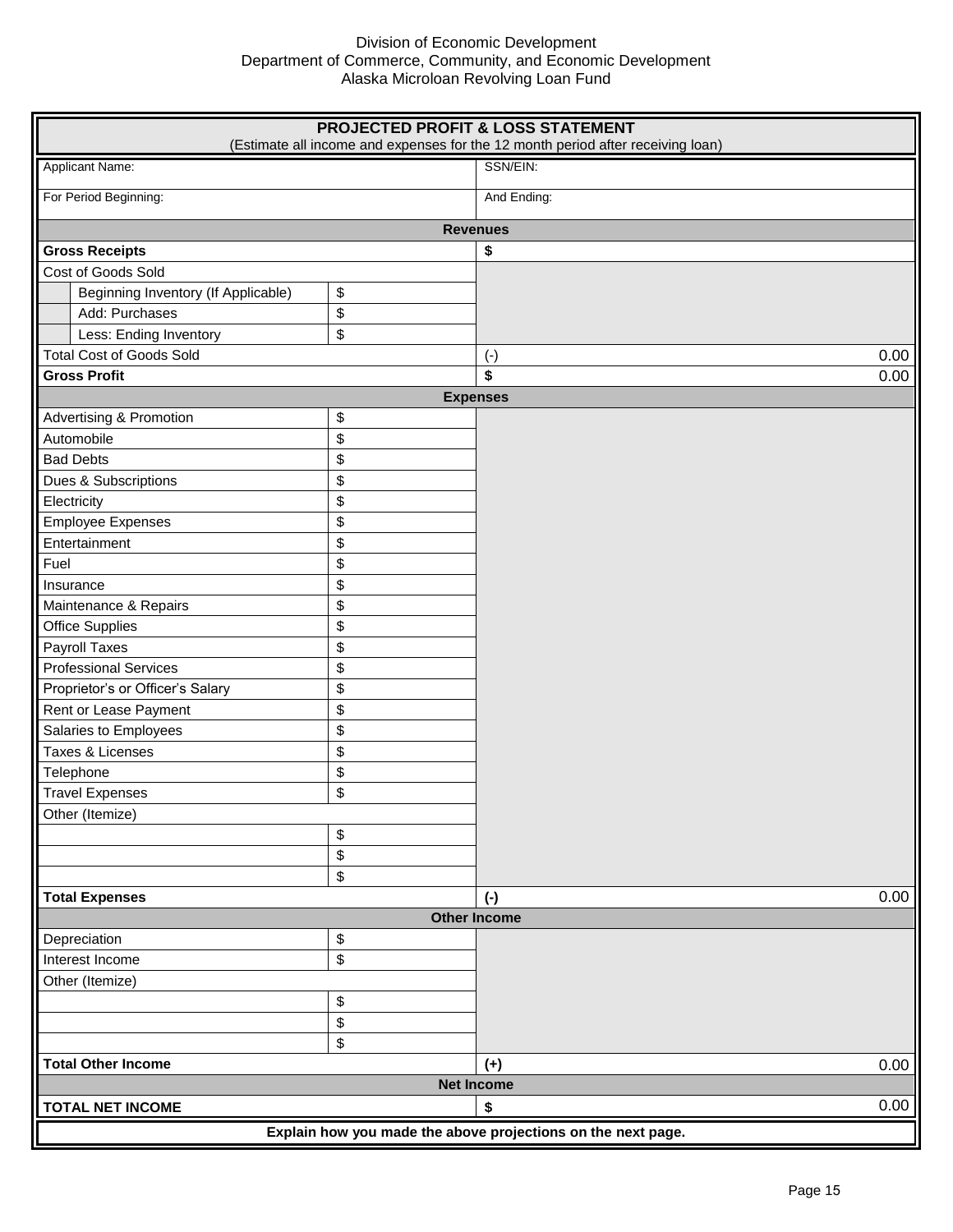|                                     |    | <b>PROJECTED PROFIT &amp; LOSS STATEMENT</b><br>(Estimate all income and expenses for the 12 month period after receiving loan) |  |  |
|-------------------------------------|----|---------------------------------------------------------------------------------------------------------------------------------|--|--|
| Applicant Name:                     |    | SSN/EIN:                                                                                                                        |  |  |
| For Period Beginning:               |    | And Ending:                                                                                                                     |  |  |
|                                     |    | <b>Revenues</b>                                                                                                                 |  |  |
| <b>Gross Receipts</b>               |    | \$                                                                                                                              |  |  |
| Cost of Goods Sold                  |    |                                                                                                                                 |  |  |
| Beginning Inventory (If Applicable) | \$ |                                                                                                                                 |  |  |
| Add: Purchases                      | \$ |                                                                                                                                 |  |  |
| Less: Ending Inventory              | \$ |                                                                                                                                 |  |  |
| <b>Total Cost of Goods Sold</b>     |    | 0.00<br>$(\text{-})$                                                                                                            |  |  |
| <b>Gross Profit</b>                 |    | \$<br>0.00                                                                                                                      |  |  |
|                                     |    | <b>Expenses</b>                                                                                                                 |  |  |
| <b>Advertising &amp; Promotion</b>  | \$ |                                                                                                                                 |  |  |
| Automobile                          | \$ |                                                                                                                                 |  |  |
| <b>Bad Debts</b>                    | \$ |                                                                                                                                 |  |  |
| Dues & Subscriptions                | \$ |                                                                                                                                 |  |  |
| Electricity                         | \$ |                                                                                                                                 |  |  |
| <b>Employee Expenses</b>            | \$ |                                                                                                                                 |  |  |
| Entertainment                       | \$ |                                                                                                                                 |  |  |
| Fuel                                | \$ |                                                                                                                                 |  |  |
| Insurance                           | \$ |                                                                                                                                 |  |  |
| Maintenance & Repairs               | \$ |                                                                                                                                 |  |  |
| <b>Office Supplies</b>              | \$ |                                                                                                                                 |  |  |
| Payroll Taxes                       | \$ |                                                                                                                                 |  |  |
| <b>Professional Services</b>        | \$ |                                                                                                                                 |  |  |
| Proprietor's or Officer's Salary    | \$ |                                                                                                                                 |  |  |
| Rent or Lease Payment               | \$ |                                                                                                                                 |  |  |
| Salaries to Employees               | \$ |                                                                                                                                 |  |  |
| Taxes & Licenses                    | \$ |                                                                                                                                 |  |  |
| Telephone                           | \$ |                                                                                                                                 |  |  |
| <b>Travel Expenses</b>              | \$ |                                                                                                                                 |  |  |
| Other (Itemize)                     |    |                                                                                                                                 |  |  |
|                                     | \$ |                                                                                                                                 |  |  |
|                                     | \$ |                                                                                                                                 |  |  |
|                                     | \$ |                                                                                                                                 |  |  |
| <b>Total Expenses</b>               |    | 0.00<br>$(\cdot)$                                                                                                               |  |  |
|                                     |    | <b>Other Income</b>                                                                                                             |  |  |
| Depreciation                        | \$ |                                                                                                                                 |  |  |
| Interest Income                     | \$ |                                                                                                                                 |  |  |
| Other (Itemize)                     |    |                                                                                                                                 |  |  |
|                                     | \$ |                                                                                                                                 |  |  |
|                                     | \$ |                                                                                                                                 |  |  |
|                                     | \$ |                                                                                                                                 |  |  |
| <b>Total Other Income</b>           |    | $(+)$<br>0.00                                                                                                                   |  |  |
| <b>Net Income</b>                   |    |                                                                                                                                 |  |  |
| <b>TOTAL NET INCOME</b>             |    | 0.00<br>\$                                                                                                                      |  |  |
|                                     |    | Explain how you made the above projections on the next page.                                                                    |  |  |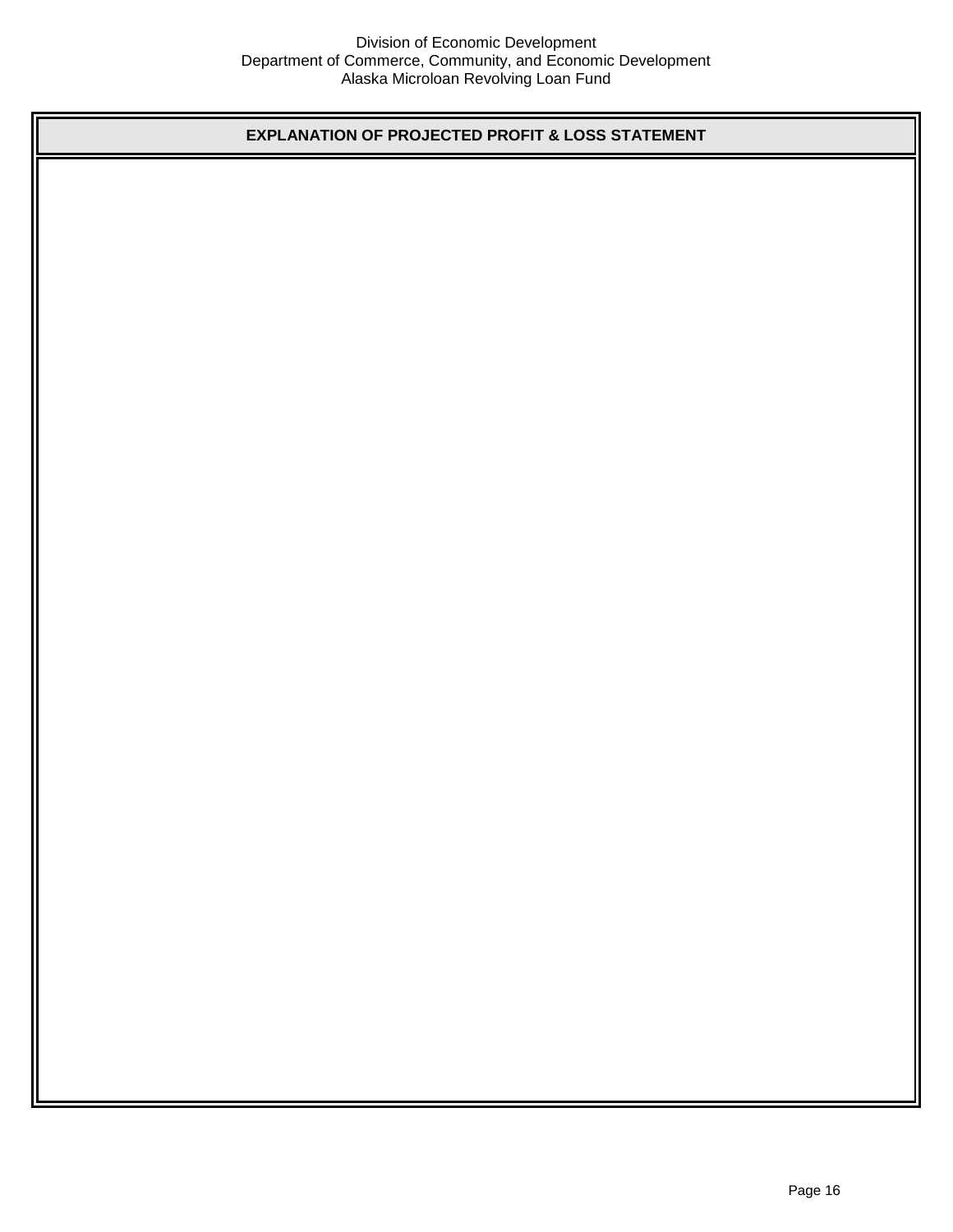**EXPLANATION OF PROJECTED PROFIT & LOSS STATEMENT**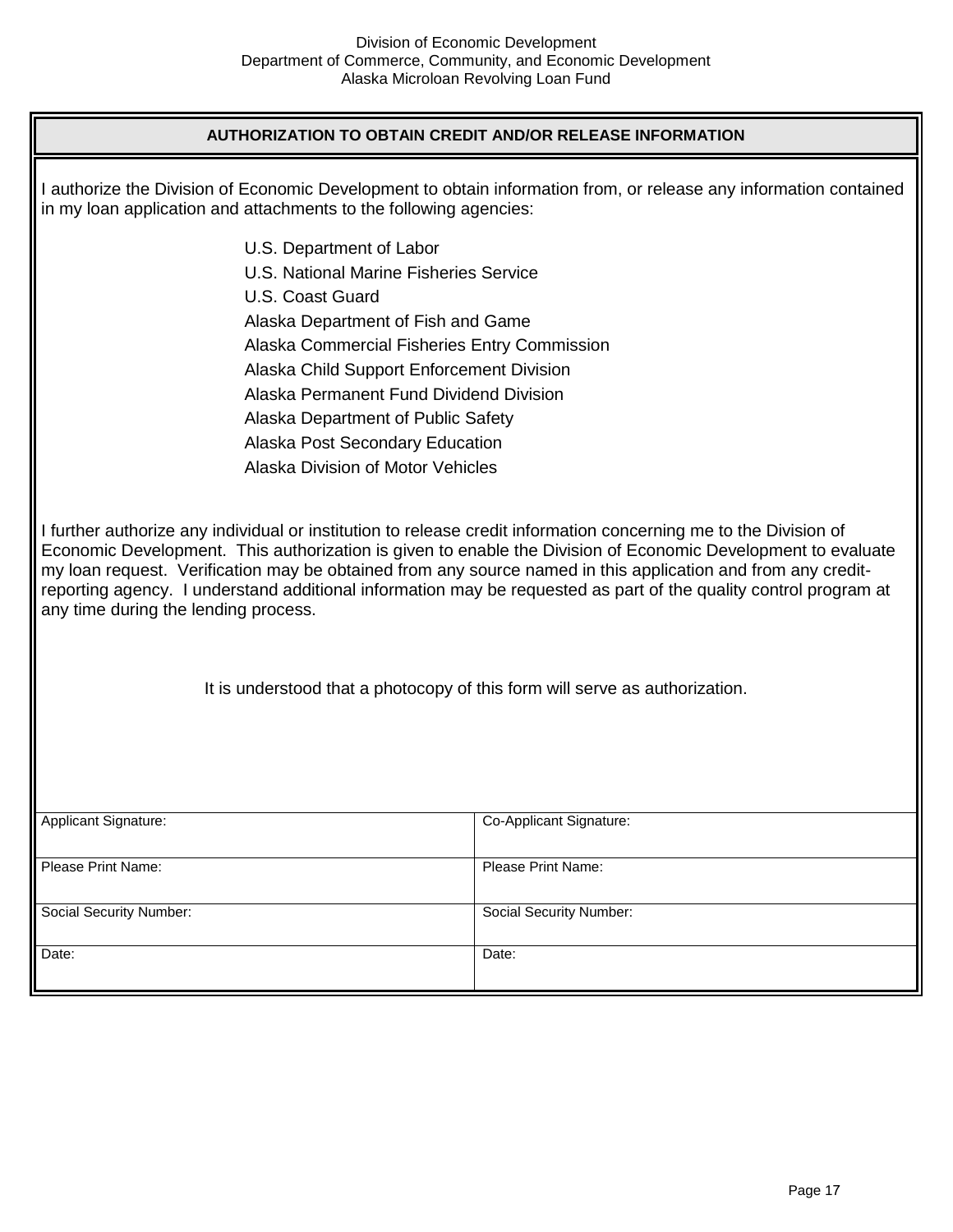## **AUTHORIZATION TO OBTAIN CREDIT AND/OR RELEASE INFORMATION**

| in my loan application and attachments to the following agencies:                                                                                                                                                                                                                                                                                                                                                                                                                                                                                                                                                                              | I authorize the Division of Economic Development to obtain information from, or release any information contained |  |  |  |
|------------------------------------------------------------------------------------------------------------------------------------------------------------------------------------------------------------------------------------------------------------------------------------------------------------------------------------------------------------------------------------------------------------------------------------------------------------------------------------------------------------------------------------------------------------------------------------------------------------------------------------------------|-------------------------------------------------------------------------------------------------------------------|--|--|--|
| U.S. Department of Labor                                                                                                                                                                                                                                                                                                                                                                                                                                                                                                                                                                                                                       |                                                                                                                   |  |  |  |
| U.S. National Marine Fisheries Service                                                                                                                                                                                                                                                                                                                                                                                                                                                                                                                                                                                                         |                                                                                                                   |  |  |  |
| U.S. Coast Guard                                                                                                                                                                                                                                                                                                                                                                                                                                                                                                                                                                                                                               |                                                                                                                   |  |  |  |
|                                                                                                                                                                                                                                                                                                                                                                                                                                                                                                                                                                                                                                                | Alaska Department of Fish and Game                                                                                |  |  |  |
|                                                                                                                                                                                                                                                                                                                                                                                                                                                                                                                                                                                                                                                | Alaska Commercial Fisheries Entry Commission                                                                      |  |  |  |
|                                                                                                                                                                                                                                                                                                                                                                                                                                                                                                                                                                                                                                                | Alaska Child Support Enforcement Division                                                                         |  |  |  |
|                                                                                                                                                                                                                                                                                                                                                                                                                                                                                                                                                                                                                                                | Alaska Permanent Fund Dividend Division                                                                           |  |  |  |
| Alaska Department of Public Safety                                                                                                                                                                                                                                                                                                                                                                                                                                                                                                                                                                                                             |                                                                                                                   |  |  |  |
| Alaska Post Secondary Education                                                                                                                                                                                                                                                                                                                                                                                                                                                                                                                                                                                                                |                                                                                                                   |  |  |  |
| <b>Alaska Division of Motor Vehicles</b>                                                                                                                                                                                                                                                                                                                                                                                                                                                                                                                                                                                                       |                                                                                                                   |  |  |  |
| I further authorize any individual or institution to release credit information concerning me to the Division of<br>Economic Development. This authorization is given to enable the Division of Economic Development to evaluate<br>my loan request. Verification may be obtained from any source named in this application and from any credit-<br>reporting agency. I understand additional information may be requested as part of the quality control program at<br>any time during the lending process.<br>It is understood that a photocopy of this form will serve as authorization.<br>Applicant Signature:<br>Co-Applicant Signature: |                                                                                                                   |  |  |  |
|                                                                                                                                                                                                                                                                                                                                                                                                                                                                                                                                                                                                                                                |                                                                                                                   |  |  |  |
| Please Print Name:                                                                                                                                                                                                                                                                                                                                                                                                                                                                                                                                                                                                                             | Please Print Name:                                                                                                |  |  |  |
| <b>Social Security Number:</b>                                                                                                                                                                                                                                                                                                                                                                                                                                                                                                                                                                                                                 | <b>Social Security Number:</b>                                                                                    |  |  |  |
| Date:                                                                                                                                                                                                                                                                                                                                                                                                                                                                                                                                                                                                                                          | Date:                                                                                                             |  |  |  |